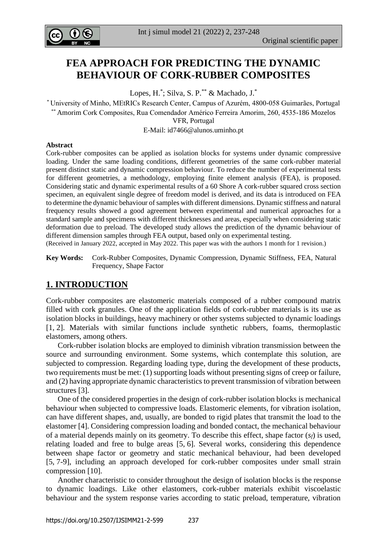

# **FEA APPROACH FOR PREDICTING THE DYNAMIC BEHAVIOUR OF CORK-RUBBER COMPOSITES**

Lopes, H.<sup>\*</sup>; Silva, S. P.<sup>\*\*</sup> & Machado, J.<sup>\*</sup>

\* University of Minho, MEtRICs Research Center, Campus of Azurém, 4800-058 Guimarães, Portugal \*\* Amorim Cork Composites, Rua Comendador Américo Ferreira Amorim, 260, 4535-186 Mozelos

VFR, Portugal

E-Mail: [id7466@alunos.uminho.pt](mailto:id7466@alunos.uminho.pt)

#### **Abstract**

Cork-rubber composites can be applied as isolation blocks for systems under dynamic compressive loading. Under the same loading conditions, different geometries of the same cork-rubber material present distinct static and dynamic compression behaviour. To reduce the number of experimental tests for different geometries, a methodology, employing finite element analysis (FEA), is proposed. Considering static and dynamic experimental results of a 60 Shore A cork-rubber squared cross section specimen, an equivalent single degree of freedom model is derived, and its data is introduced on FEA to determine the dynamic behaviour of samples with different dimensions. Dynamic stiffness and natural frequency results showed a good agreement between experimental and numerical approaches for a standard sample and specimens with different thicknesses and areas, especially when considering static deformation due to preload. The developed study allows the prediction of the dynamic behaviour of different dimension samples through FEA output, based only on experimental testing.

(Received in January 2022, accepted in May 2022. This paper was with the authors 1 month for 1 revision.)

**Key Words:** Cork-Rubber Composites, Dynamic Compression, Dynamic Stiffness, FEA, Natural Frequency, Shape Factor

## **1. INTRODUCTION**

Cork-rubber composites are elastomeric materials composed of a rubber compound matrix filled with cork granules. One of the application fields of cork-rubber materials is its use as isolation blocks in buildings, heavy machinery or other systems subjected to dynamic loadings [1, 2]. Materials with similar functions include synthetic rubbers, foams, thermoplastic elastomers, among others.

 Cork-rubber isolation blocks are employed to diminish vibration transmission between the source and surrounding environment. Some systems, which contemplate this solution, are subjected to compression. Regarding loading type, during the development of these products, two requirements must be met: (1) supporting loads without presenting signs of creep or failure, and (2) having appropriate dynamic characteristics to prevent transmission of vibration between structures [3].

 One of the considered properties in the design of cork-rubber isolation blocks is mechanical behaviour when subjected to compressive loads. Elastomeric elements, for vibration isolation, can have different shapes, and, usually, are bonded to rigid plates that transmit the load to the elastomer [4]. Considering compression loading and bonded contact, the mechanical behaviour of a material depends mainly on its geometry. To describe this effect, shape factor (*sf*) is used, relating loaded and free to bulge areas [5, 6]. Several works, considering this dependence between shape factor or geometry and static mechanical behaviour, had been developed [5, 7-9], including an approach developed for cork-rubber composites under small strain compression [10].

 Another characteristic to consider throughout the design of isolation blocks is the response to dynamic loadings. Like other elastomers, cork-rubber materials exhibit viscoelastic behaviour and the system response varies according to static preload, temperature, vibration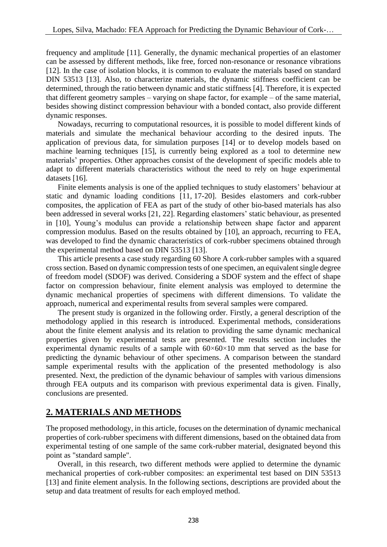frequency and amplitude [11]. Generally, the dynamic mechanical properties of an elastomer can be assessed by different methods, like free, forced non-resonance or resonance vibrations [12]. In the case of isolation blocks, it is common to evaluate the materials based on standard DIN 53513 [13]. Also, to characterize materials, the dynamic stiffness coefficient can be determined, through the ratio between dynamic and static stiffness [4]. Therefore, it is expected that different geometry samples – varying on shape factor, for example – of the same material, besides showing distinct compression behaviour with a bonded contact, also provide different dynamic responses.

 Nowadays, recurring to computational resources, it is possible to model different kinds of materials and simulate the mechanical behaviour according to the desired inputs. The application of previous data, for simulation purposes [14] or to develop models based on machine learning techniques [15], is currently being explored as a tool to determine new materials' properties. Other approaches consist of the development of specific models able to adapt to different materials characteristics without the need to rely on huge experimental datasets [16].

 Finite elements analysis is one of the applied techniques to study elastomers' behaviour at static and dynamic loading conditions [11, 17-20]. Besides elastomers and cork-rubber composites, the application of FEA as part of the study of other bio-based materials has also been addressed in several works [21, 22]. Regarding elastomers' static behaviour, as presented in [10], Young's modulus can provide a relationship between shape factor and apparent compression modulus. Based on the results obtained by [10], an approach, recurring to FEA, was developed to find the dynamic characteristics of cork-rubber specimens obtained through the experimental method based on DIN 53513 [13].

 This article presents a case study regarding 60 Shore A cork-rubber samples with a squared cross section. Based on dynamic compression tests of one specimen, an equivalent single degree of freedom model (SDOF) was derived. Considering a SDOF system and the effect of shape factor on compression behaviour, finite element analysis was employed to determine the dynamic mechanical properties of specimens with different dimensions. To validate the approach, numerical and experimental results from several samples were compared.

 The present study is organized in the following order. Firstly, a general description of the methodology applied in this research is introduced. Experimental methods, considerations about the finite element analysis and its relation to providing the same dynamic mechanical properties given by experimental tests are presented. The results section includes the experimental dynamic results of a sample with  $60\times60\times10$  mm that served as the base for predicting the dynamic behaviour of other specimens. A comparison between the standard sample experimental results with the application of the presented methodology is also presented. Next, the prediction of the dynamic behaviour of samples with various dimensions through FEA outputs and its comparison with previous experimental data is given. Finally, conclusions are presented.

## **2. MATERIALS AND METHODS**

The proposed methodology, in this article, focuses on the determination of dynamic mechanical properties of cork-rubber specimens with different dimensions, based on the obtained data from experimental testing of one sample of the same cork-rubber material, designated beyond this point as "standard sample".

 Overall, in this research, two different methods were applied to determine the dynamic mechanical properties of cork-rubber composites: an experimental test based on DIN 53513 [13] and finite element analysis. In the following sections, descriptions are provided about the setup and data treatment of results for each employed method.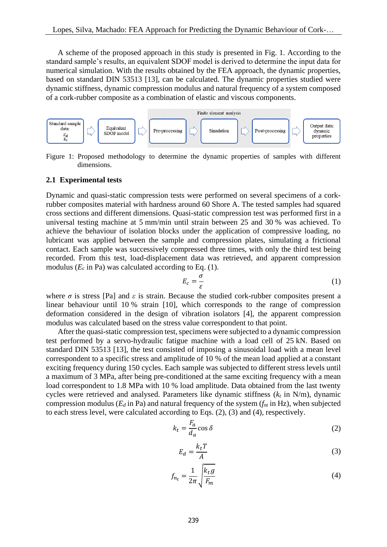A scheme of the proposed approach in this study is presented in Fig. 1. According to the standard sample's results, an equivalent SDOF model is derived to determine the input data for numerical simulation. With the results obtained by the FEA approach, the dynamic properties, based on standard DIN 53513 [13], can be calculated. The dynamic properties studied were dynamic stiffness, dynamic compression modulus and natural frequency of a system composed of a cork-rubber composite as a combination of elastic and viscous components.



Figure 1: Proposed methodology to determine the dynamic properties of samples with different dimensions.

#### **2.1 Experimental tests**

Dynamic and quasi-static compression tests were performed on several specimens of a corkrubber composites material with hardness around 60 Shore A. The tested samples had squared cross sections and different dimensions. Quasi-static compression test was performed first in a universal testing machine at 5 mm/min until strain between 25 and 30 % was achieved. To achieve the behaviour of isolation blocks under the application of compressive loading, no lubricant was applied between the sample and compression plates, simulating a frictional contact. Each sample was successively compressed three times, with only the third test being recorded. From this test, load-displacement data was retrieved, and apparent compression modulus  $(E_c \text{ in } Pa)$  was calculated according to Eq. (1).

$$
E_c = \frac{\sigma}{\varepsilon} \tag{1}
$$

where  $\sigma$  is stress [Pa] and  $\varepsilon$  is strain. Because the studied cork-rubber composites present a linear behaviour until 10 % strain [10], which corresponds to the range of compression deformation considered in the design of vibration isolators [4], the apparent compression modulus was calculated based on the stress value correspondent to that point.

 After the quasi-static compression test, specimens were subjected to a dynamic compression test performed by a servo-hydraulic fatigue machine with a load cell of 25 kN. Based on standard DIN 53513 [13], the test consisted of imposing a sinusoidal load with a mean level correspondent to a specific stress and amplitude of 10 % of the mean load applied at a constant exciting frequency during 150 cycles. Each sample was subjected to different stress levels until a maximum of 3 MPa, after being pre-conditioned at the same exciting frequency with a mean load correspondent to 1.8 MPa with 10 % load amplitude. Data obtained from the last twenty cycles were retrieved and analysed. Parameters like dynamic stiffness  $(k<sub>t</sub>$  in N/m), dynamic compression modulus ( $E_d$  in Pa) and natural frequency of the system  $(f_n$  in Hz), when subjected to each stress level, were calculated according to Eqs. (2), (3) and (4), respectively.

$$
k_t = \frac{F_a}{d_a} \cos \delta \tag{2}
$$

$$
E_d = \frac{k_t T}{A} \tag{3}
$$

$$
f_{n_t} = \frac{1}{2\pi} \sqrt{\frac{k_t g}{F_m}}
$$
(4)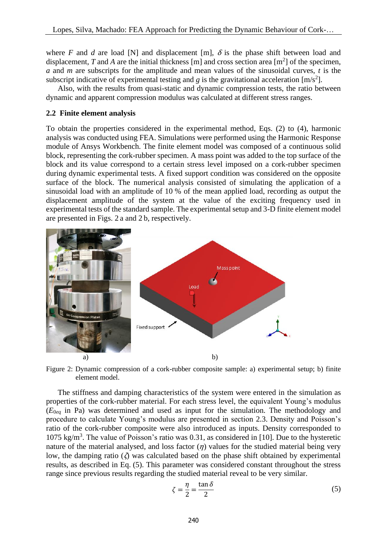where *F* and *d* are load [N] and displacement [m],  $\delta$  is the phase shift between load and displacement, *T* and *A* are the initial thickness [m] and cross section area  $[m^2]$  of the specimen, *a* and *m* are subscripts for the amplitude and mean values of the sinusoidal curves, *t* is the subscript indicative of experimental testing and  $g$  is the gravitational acceleration [m/s<sup>2</sup>].

 Also, with the results from quasi-static and dynamic compression tests, the ratio between dynamic and apparent compression modulus was calculated at different stress ranges.

### **2.2 Finite element analysis**

To obtain the properties considered in the experimental method, Eqs. (2) to (4), harmonic analysis was conducted using FEA. Simulations were performed using the Harmonic Response module of Ansys Workbench. The finite element model was composed of a continuous solid block, representing the cork-rubber specimen. A mass point was added to the top surface of the block and its value correspond to a certain stress level imposed on a cork-rubber specimen during dynamic experimental tests. A fixed support condition was considered on the opposite surface of the block. The numerical analysis consisted of simulating the application of a sinusoidal load with an amplitude of 10 % of the mean applied load, recording as output the displacement amplitude of the system at the value of the exciting frequency used in experimental tests of the standard sample. The experimental setup and 3-D finite element model are presented in Figs. 2 a and 2 b, respectively.



Figure 2: Dynamic compression of a cork-rubber composite sample: a) experimental setup; b) finite element model.

 The stiffness and damping characteristics of the system were entered in the simulation as properties of the cork-rubber material. For each stress level, the equivalent Young's modulus (*E*0*eq* in Pa) was determined and used as input for the simulation. The methodology and procedure to calculate Young's modulus are presented in section 2.3. Density and Poisson's ratio of the cork-rubber composite were also introduced as inputs. Density corresponded to 1075 kg/m<sup>3</sup>. The value of Poisson's ratio was 0.31, as considered in [10]. Due to the hysteretic nature of the material analysed, and loss factor  $(n)$  values for the studied material being very low, the damping ratio ( $\zeta$ ) was calculated based on the phase shift obtained by experimental results, as described in Eq. (5). This parameter was considered constant throughout the stress range since previous results regarding the studied material reveal to be very similar.

$$
\zeta = \frac{\eta}{2} = \frac{\tan \delta}{2} \tag{5}
$$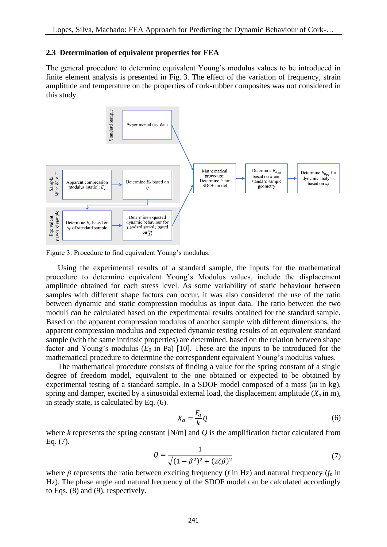#### **2.3 Determination of equivalent properties for FEA**

The general procedure to determine equivalent Young's modulus values to be introduced in finite element analysis is presented in Fig. 3. The effect of the variation of frequency, strain amplitude and temperature on the properties of cork-rubber composites was not considered in this study.



Figure 3: Procedure to find equivalent Young's modulus.

 Using the experimental results of a standard sample, the inputs for the mathematical procedure to determine equivalent Young's Modulus values, include the displacement amplitude obtained for each stress level. As some variability of static behaviour between samples with different shape factors can occur, it was also considered the use of the ratio between dynamic and static compression modulus as input data. The ratio between the two moduli can be calculated based on the experimental results obtained for the standard sample. Based on the apparent compression modulus of another sample with different dimensions, the apparent compression modulus and expected dynamic testing results of an equivalent standard sample (with the same intrinsic properties) are determined, based on the relation between shape factor and Young's modulus  $(E_0$  in Pa) [10]. These are the inputs to be introduced for the mathematical procedure to determine the correspondent equivalent Young's modulus values.

 The mathematical procedure consists of finding a value for the spring constant of a single degree of freedom model, equivalent to the one obtained or expected to be obtained by experimental testing of a standard sample. In a SDOF model composed of a mass (*m* in kg), spring and damper, excited by a sinusoidal external load, the displacement amplitude  $(X_a \text{ in } m)$ , in steady state, is calculated by Eq. (6).

$$
X_a = \frac{F_a}{k} Q \tag{6}
$$

where *k* represents the spring constant [N/m] and *Q* is the amplification factor calculated from Eq. (7).

$$
Q = \frac{1}{\sqrt{(1 - \beta^2)^2 + (2\zeta\beta)^2}}
$$
(7)

where *β* represents the ratio between exciting frequency (*f* in Hz) and natural frequency (*f<sup>n</sup>* in Hz). The phase angle and natural frequency of the SDOF model can be calculated accordingly to Eqs. (8) and (9), respectively.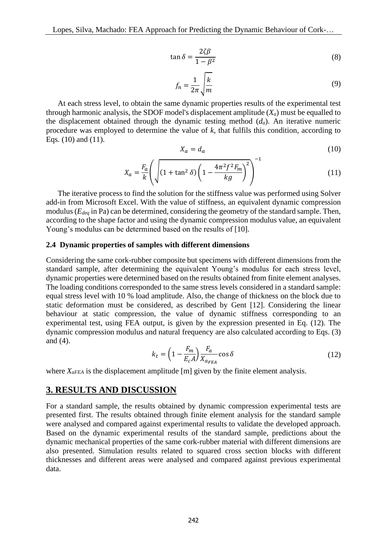$$
\tan \delta = \frac{2\zeta\beta}{1 - \beta^2} \tag{8}
$$

$$
f_n = \frac{1}{2\pi} \sqrt{\frac{k}{m}}\tag{9}
$$

 At each stress level, to obtain the same dynamic properties results of the experimental test through harmonic analysis, the SDOF model's displacement amplitude  $(X_a)$  must be equalled to the displacement obtained through the dynamic testing method  $(d_a)$ . An iterative numeric procedure was employed to determine the value of *k*, that fulfils this condition, according to Eqs. (10) and (11).

$$
X_a = d_a \tag{10}
$$

$$
X_a = \frac{F_a}{k} \left( \sqrt{\left(1 + \tan^2 \delta\right) \left(1 - \frac{4\pi^2 f^2 F_m}{kg}\right)^2} \right)^{-1}
$$
(11)

 The iterative process to find the solution for the stiffness value was performed using Solver add-in from Microsoft Excel. With the value of stiffness, an equivalent dynamic compression modulus (*Edeq* in Pa) can be determined, considering the geometry of the standard sample. Then, according to the shape factor and using the dynamic compression modulus value, an equivalent Young's modulus can be determined based on the results of [10].

#### **2.4 Dynamic properties of samples with different dimensions**

Considering the same cork-rubber composite but specimens with different dimensions from the standard sample, after determining the equivalent Young's modulus for each stress level, dynamic properties were determined based on the results obtained from finite element analyses. The loading conditions corresponded to the same stress levels considered in a standard sample: equal stress level with 10 % load amplitude. Also, the change of thickness on the block due to static deformation must be considered, as described by Gent [12]. Considering the linear behaviour at static compression, the value of dynamic stiffness corresponding to an experimental test, using FEA output, is given by the expression presented in Eq. (12). The dynamic compression modulus and natural frequency are also calculated according to Eqs. (3) and (4).

$$
k_t = \left(1 - \frac{F_m}{E_c A}\right) \frac{F_a}{X_{a_{FEA}}} \cos \delta \tag{12}
$$

where *X<sub>aFEA</sub>* is the displacement amplitude [m] given by the finite element analysis.

#### **3. RESULTS AND DISCUSSION**

For a standard sample, the results obtained by dynamic compression experimental tests are presented first. The results obtained through finite element analysis for the standard sample were analysed and compared against experimental results to validate the developed approach. Based on the dynamic experimental results of the standard sample, predictions about the dynamic mechanical properties of the same cork-rubber material with different dimensions are also presented. Simulation results related to squared cross section blocks with different thicknesses and different areas were analysed and compared against previous experimental data.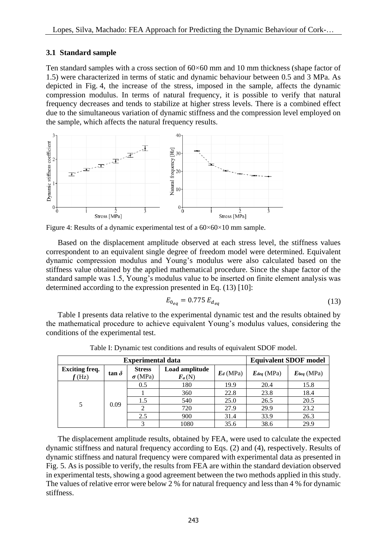### **3.1 Standard sample**

Ten standard samples with a cross section of  $60\times60$  mm and 10 mm thickness (shape factor of 1.5) were characterized in terms of static and dynamic behaviour between 0.5 and 3 MPa. As depicted in Fig. 4, the increase of the stress, imposed in the sample, affects the dynamic compression modulus. In terms of natural frequency, it is possible to verify that natural frequency decreases and tends to stabilize at higher stress levels. There is a combined effect due to the simultaneous variation of dynamic stiffness and the compression level employed on the sample, which affects the natural frequency results.





 Based on the displacement amplitude observed at each stress level, the stiffness values correspondent to an equivalent single degree of freedom model were determined. Equivalent dynamic compression modulus and Young's modulus were also calculated based on the stiffness value obtained by the applied mathematical procedure. Since the shape factor of the standard sample was 1.5, Young's modulus value to be inserted on finite element analysis was determined according to the expression presented in Eq. (13) [10]:

$$
E_{0_{eq}} = 0.775 E_{d_{eq}} \tag{13}
$$

 Table I presents data relative to the experimental dynamic test and the results obtained by the mathematical procedure to achieve equivalent Young's modulus values, considering the conditions of the experimental test.

|                                   | <b>Experimental data</b> | <b>Equivalent SDOF model</b>    |                            |             |                 |                 |
|-----------------------------------|--------------------------|---------------------------------|----------------------------|-------------|-----------------|-----------------|
| <b>Exciting freq.</b><br>$f$ (Hz) | tan $\delta$             | <b>Stress</b><br>$\sigma$ (MPa) | Load amplitude<br>$F_a(N)$ | $E_d$ (MPa) | $E_{deg}$ (MPa) | $E_{0eq}$ (MPa) |
| 5                                 | 0.09                     | 0.5                             | 180                        | 19.9        | 20.4            | 15.8            |
|                                   |                          |                                 | 360                        | 22.8        | 23.8            | 18.4            |
|                                   |                          | 1.5                             | 540                        | 25.0        | 26.5            | 20.5            |
|                                   |                          |                                 | 720                        | 27.9        | 29.9            | 23.2            |
|                                   |                          | 2.5                             | 900                        | 31.4        | 33.9            | 26.3            |
|                                   |                          | 3                               | 1080                       | 35.6        | 38.6            | 29.9            |

Table I: Dynamic test conditions and results of equivalent SDOF model.

 The displacement amplitude results, obtained by FEA, were used to calculate the expected dynamic stiffness and natural frequency according to Eqs. (2) and (4), respectively. Results of dynamic stiffness and natural frequency were compared with experimental data as presented in Fig. 5. As is possible to verify, the results from FEA are within the standard deviation observed in experimental tests, showing a good agreement between the two methods applied in this study. The values of relative error were below 2 % for natural frequency and less than 4 % for dynamic stiffness.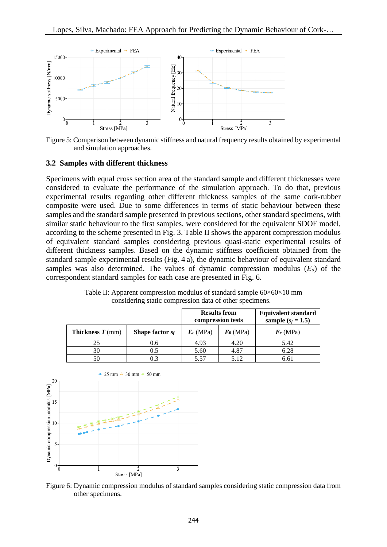

Figure 5: Comparison between dynamic stiffness and natural frequency results obtained by experimental and simulation approaches.

#### **3.2 Samples with different thickness**

Specimens with equal cross section area of the standard sample and different thicknesses were considered to evaluate the performance of the simulation approach. To do that, previous experimental results regarding other different thickness samples of the same cork-rubber composite were used. Due to some differences in terms of static behaviour between these samples and the standard sample presented in previous sections, other standard specimens, with similar static behaviour to the first samples, were considered for the equivalent SDOF model, according to the scheme presented in Fig. 3. Table II shows the apparent compression modulus of equivalent standard samples considering previous quasi-static experimental results of different thickness samples. Based on the dynamic stiffness coefficient obtained from the standard sample experimental results (Fig. 4 a), the dynamic behaviour of equivalent standard samples was also determined. The values of dynamic compression modulus (*Ed*) of the correspondent standard samples for each case are presented in Fig. 6.

|                                      | <b>Results from</b>    | compression tests | <b>Equivalent standard</b><br>sample $(s_f = 1.5)$ |             |
|--------------------------------------|------------------------|-------------------|----------------------------------------------------|-------------|
| <b>Thickness <math>T</math></b> (mm) | <b>Shape factor</b> Sf | $E_c$ (MPa)       | $E_0$ (MPa)                                        | $E_c$ (MPa) |
| 25                                   | 0.6                    | 4.93              | 4.20                                               | 5.42        |
| 30                                   | 0.5                    | 5.60              | 4.87                                               | 6.28        |
| 50                                   | 0.3                    | 5.57              | 5.12                                               | 6.61        |

Table II: Apparent compression modulus of standard sample  $60 \times 60 \times 10$  mm considering static compression data of other specimens.



Figure 6: Dynamic compression modulus of standard samples considering static compression data from other specimens.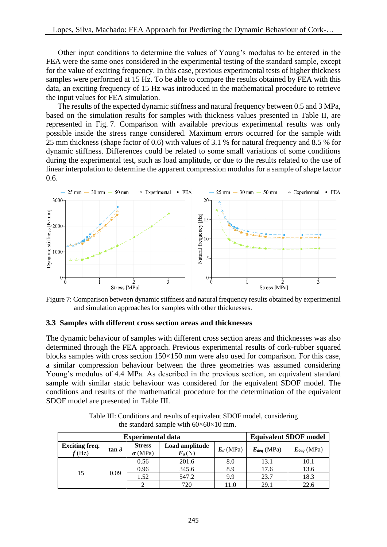Other input conditions to determine the values of Young's modulus to be entered in the FEA were the same ones considered in the experimental testing of the standard sample, except for the value of exciting frequency. In this case, previous experimental tests of higher thickness samples were performed at 15 Hz. To be able to compare the results obtained by FEA with this data, an exciting frequency of 15 Hz was introduced in the mathematical procedure to retrieve the input values for FEA simulation.

 The results of the expected dynamic stiffness and natural frequency between 0.5 and 3 MPa, based on the simulation results for samples with thickness values presented in Table II, are represented in Fig. 7. Comparison with available previous experimental results was only possible inside the stress range considered. Maximum errors occurred for the sample with 25 mm thickness (shape factor of 0.6) with values of 3.1 % for natural frequency and 8.5 % for dynamic stiffness. Differences could be related to some small variations of some conditions during the experimental test, such as load amplitude, or due to the results related to the use of linear interpolation to determine the apparent compression modulus for a sample of shape factor 0.6.



Figure 7: Comparison between dynamic stiffness and natural frequency results obtained by experimental and simulation approaches for samples with other thicknesses.

#### **3.3 Samples with different cross section areas and thicknesses**

The dynamic behaviour of samples with different cross section areas and thicknesses was also determined through the FEA approach. Previous experimental results of cork-rubber squared blocks samples with cross section 150×150 mm were also used for comparison. For this case, a similar compression behaviour between the three geometries was assumed considering Young's modulus of 4.4 MPa. As described in the previous section, an equivalent standard sample with similar static behaviour was considered for the equivalent SDOF model. The conditions and results of the mathematical procedure for the determination of the equivalent SDOF model are presented in Table III.

|                                   | <b>Experimental data</b> | <b>Equivalent SDOF model</b>    |                            |             |                 |                 |
|-----------------------------------|--------------------------|---------------------------------|----------------------------|-------------|-----------------|-----------------|
| <b>Exciting freq.</b><br>$f$ (Hz) | tan $\delta$             | <b>Stress</b><br>$\sigma$ (MPa) | Load amplitude<br>$F_a(N)$ | $E_d$ (MPa) | $E_{deq}$ (MPa) | $E_{0eq}$ (MPa) |
| 15                                | 0.09                     | 0.56                            | 201.6                      | 8.0         | 13.1            | 10.1            |
|                                   |                          | 0.96                            | 345.6                      | 8.9         | 17.6            | 13.6            |
|                                   |                          | 1.52                            | 547.2                      | 9.9         | 23.7            | 18.3            |
|                                   |                          |                                 | 720                        | 11.0        | 29.1            | 22.6            |

Table III: Conditions and results of equivalent SDOF model, considering the standard sample with  $60\times60\times10$  mm.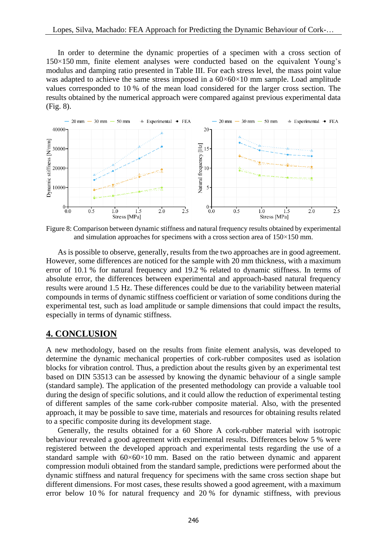In order to determine the dynamic properties of a specimen with a cross section of 150×150 mm, finite element analyses were conducted based on the equivalent Young's modulus and damping ratio presented in Table III. For each stress level, the mass point value was adapted to achieve the same stress imposed in a  $60\times60\times10$  mm sample. Load amplitude values corresponded to 10 % of the mean load considered for the larger cross section. The results obtained by the numerical approach were compared against previous experimental data (Fig. 8).



Figure 8: Comparison between dynamic stiffness and natural frequency results obtained by experimental and simulation approaches for specimens with a cross section area of  $150 \times 150$  mm.

 As is possible to observe, generally, results from the two approaches are in good agreement. However, some differences are noticed for the sample with 20 mm thickness, with a maximum error of 10.1 % for natural frequency and 19.2 % related to dynamic stiffness. In terms of absolute error, the differences between experimental and approach-based natural frequency results were around 1.5 Hz. These differences could be due to the variability between material compounds in terms of dynamic stiffness coefficient or variation of some conditions during the experimental test, such as load amplitude or sample dimensions that could impact the results, especially in terms of dynamic stiffness.

## **4. CONCLUSION**

A new methodology, based on the results from finite element analysis, was developed to determine the dynamic mechanical properties of cork-rubber composites used as isolation blocks for vibration control. Thus, a prediction about the results given by an experimental test based on DIN 53513 can be assessed by knowing the dynamic behaviour of a single sample (standard sample). The application of the presented methodology can provide a valuable tool during the design of specific solutions, and it could allow the reduction of experimental testing of different samples of the same cork-rubber composite material. Also, with the presented approach, it may be possible to save time, materials and resources for obtaining results related to a specific composite during its development stage.

 Generally, the results obtained for a 60 Shore A cork-rubber material with isotropic behaviour revealed a good agreement with experimental results. Differences below 5 % were registered between the developed approach and experimental tests regarding the use of a standard sample with 60×60×10 mm. Based on the ratio between dynamic and apparent compression moduli obtained from the standard sample, predictions were performed about the dynamic stiffness and natural frequency for specimens with the same cross section shape but different dimensions. For most cases, these results showed a good agreement, with a maximum error below 10 % for natural frequency and 20 % for dynamic stiffness, with previous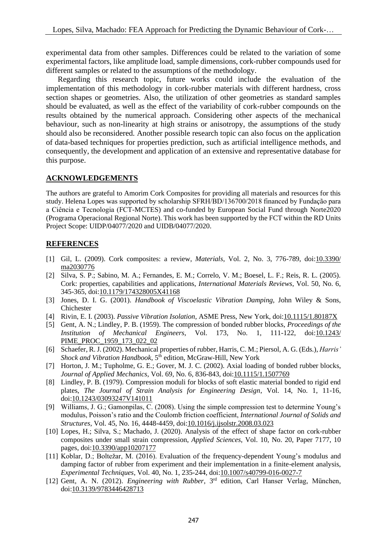experimental data from other samples. Differences could be related to the variation of some experimental factors, like amplitude load, sample dimensions, cork-rubber compounds used for different samples or related to the assumptions of the methodology.

 Regarding this research topic, future works could include the evaluation of the implementation of this methodology in cork-rubber materials with different hardness, cross section shapes or geometries. Also, the utilization of other geometries as standard samples should be evaluated, as well as the effect of the variability of cork-rubber compounds on the results obtained by the numerical approach. Considering other aspects of the mechanical behaviour, such as non-linearity at high strains or anisotropy, the assumptions of the study should also be reconsidered. Another possible research topic can also focus on the application of data-based techniques for properties prediction, such as artificial intelligence methods, and consequently, the development and application of an extensive and representative database for this purpose.

### **ACKNOWLEDGEMENTS**

The authors are grateful to Amorim Cork Composites for providing all materials and resources for this study. Helena Lopes was supported by scholarship SFRH/BD/136700/2018 financed by Fundação para a Ciência e Tecnologia (FCT-MCTES) and co-funded by European Social Fund through Norte2020 (Programa Operacional Regional Norte). This work has been supported by the FCT within the RD Units Project Scope: UIDP/04077/2020 and UIDB/04077/2020.

## **REFERENCES**

- [1] Gil, L. (2009). Cork composites: a review, *Materials*, Vol. 2, No. 3, 776-789, doi[:10.3390/](https://doi.org/10.3390/ma2030776) [ma2030776](https://doi.org/10.3390/ma2030776)
- [2] Silva, S. P.; Sabino, M. A.; Fernandes, E. M.; Correlo, V. M.; Boesel, L. F.; Reis, R. L. (2005). Cork: properties, capabilities and applications, *International Materials Reviews*, Vol. 50, No. 6, 345-365, doi[:10.1179/174328005X41168](https://doi.org/10.1179/174328005X41168)
- [3] Jones, D. I. G. (2001). *Handbook of Viscoelastic Vibration Damping*, John Wiley & Sons, Chichester
- [4] Rivin, E. I. (2003). *Passive Vibration Isolation*, ASME Press, New York, doi[:10.1115/1.80187X](https://doi.org/10.1115/1.80187X)
- [5] Gent, A. N.; Lindley, P. B. (1959). The compression of bonded rubber blocks, *Proceedings of the Institution of Mechanical Engineers*, Vol. 173, No. 1, 111-122, doi[:10.1243/](https://doi.org/10.1243/PIME_PROC_1959_173_022_02) [PIME\\_PROC\\_1959\\_173\\_022\\_02](https://doi.org/10.1243/PIME_PROC_1959_173_022_02)
- [6] Schaefer, R. J. (2002). Mechanical properties of rubber, Harris, C. M.; Piersol, A. G. (Eds.), *Harris'*  Shock and Vibration Handbook, 5<sup>th</sup> edition, McGraw-Hill, New York
- [7] Horton, J. M.; Tupholme, G. E.; Gover, M. J. C. (2002). Axial loading of bonded rubber blocks, *Journal of Applied Mechanics*, Vol. 69, No. 6, 836-843, doi[:10.1115/1.1507769](https://doi.org/10.1115/1.1507769)
- [8] Lindley, P. B. (1979). Compression moduli for blocks of soft elastic material bonded to rigid end plates, *The Journal of Strain Analysis for Engineering Design*, Vol. 14, No. 1, 11-16, doi[:10.1243/03093247V141011](https://doi.org/10.1243/03093247V141011)
- [9] Williams, J. G.; Gamonpilas, C. (2008). Using the simple compression test to determine Young's modulus, Poisson's ratio and the Coulomb friction coefficient, *International Journal of Solids and Structures*, Vol. 45, No. 16, 4448-4459, doi[:10.1016/j.ijsolstr.2008.03.023](https://doi.org/10.1016/j.ijsolstr.2008.03.023)
- [10] Lopes, H.; Silva, S.; Machado, J. (2020). Analysis of the effect of shape factor on cork-rubber composites under small strain compression, *Applied Sciences*, Vol. 10, No. 20, Paper 7177, 10 pages, doi[:10.3390/app10207177](https://doi.org/10.3390/app10207177)
- [11] Koblar, D.; Boltežar, M. (2016). Evaluation of the frequency-dependent Young's modulus and damping factor of rubber from experiment and their implementation in a finite-element analysis, *Experimental Techniques*, Vol. 40, No. 1, 235-244, doi[:10.1007/s40799-016-0027-7](https://doi.org/10.1007/s40799-016-0027-7)
- [12] Gent, A. N. (2012). *Engineering with Rubber*, 3<sup>rd</sup> edition, Carl Hanser Verlag, München, doi[:10.3139/9783446428713](https://doi.org/10.3139/9783446428713)